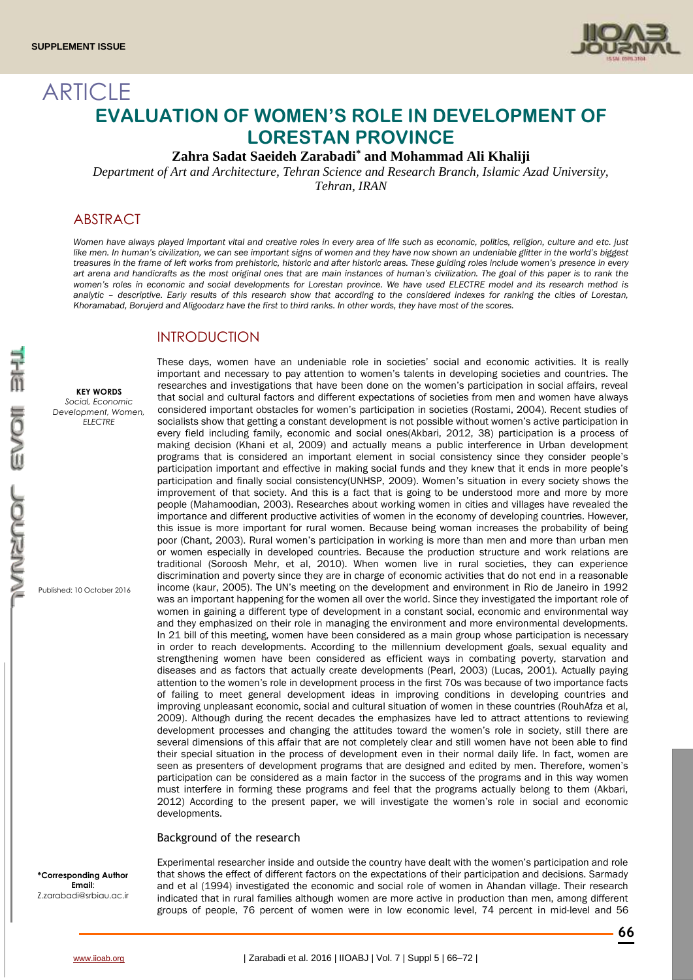

# ARTICLE **EVALUATION OF WOMEN'S ROLE IN DEVELOPMENT OF LORESTAN PROVINCE**

**Zahra Sadat Saeideh Zarabadi\* and Mohammad Ali Khaliji**

*Department of Art and Architecture, Tehran Science and Research Branch, Islamic Azad University,* 

*Tehran, IRAN*

# ABSTRACT

*Women have always played important vital and creative roles in every area of life such as economic, politics, religion, culture and etc. just*  like men. In human's civilization, we can see important signs of women and they have now shown an undeniable glitter in the world's biggest *treasures in the frame of left works from prehistoric, historic and after historic areas. These guiding roles include women's presence in every art arena and handicrafts as the most original ones that are main instances of human's civilization. The goal of this paper is to rank the women's roles in economic and social developments for Lorestan province. We have used ELECTRE model and its research method is analytic – descriptive. Early results of this research show that according to the considered indexes for ranking the cities of Lorestan, Khoramabad, Borujerd and Aligoodarz have the first to third ranks. In other words, they have most of the scores.* 

### INTRODUCTION

developments.

Background of the research

These days, women have an undeniable role in societies' social and economic activities. It is really important and necessary to pay attention to women's talents in developing societies and countries. The researches and investigations that have been done on the women's participation in social affairs, reveal **KEY WORDS** that social and cultural factors and different expectations of societies from men and women have always *Social, Economic*  considered important obstacles for women's participation in societies (Rostami, 2004). Recent studies of *Development, Women, ELECTRE* socialists show that getting a constant development is not possible without women's active participation in every field including family, economic and social ones(Akbari, 2012, 38) participation is a process of making decision (Khani et al, 2009) and actually means a public interference in Urban development programs that is considered an important element in social consistency since they consider people's participation important and effective in making social funds and they knew that it ends in more people's participation and finally social consistency(UNHSP, 2009). Women's situation in every society shows the improvement of that society. And this is a fact that is going to be understood more and more by more people (Mahamoodian, 2003). Researches about working women in cities and villages have revealed the importance and different productive activities of women in the economy of developing countries. However, こんさつ this issue is more important for rural women. Because being woman increases the probability of being poor (Chant, 2003). Rural women's participation in working is more than men and more than urban men or women especially in developed countries. Because the production structure and work relations are traditional (Soroosh Mehr, et al, 2010). When women live in rural societies, they can experience discrimination and poverty since they are in charge of economic activities that do not end in a reasonable income (kaur, 2005). The UN's meeting on the development and environment in Rio de Janeiro in 1992 Published: 10 October 2016 was an important happening for the women all over the world. Since they investigated the important role of women in gaining a different type of development in a constant social, economic and environmental way and they emphasized on their role in managing the environment and more environmental developments. In 21 bill of this meeting, women have been considered as a main group whose participation is necessary in order to reach developments. According to the millennium development goals, sexual equality and strengthening women have been considered as efficient ways in combating poverty, starvation and diseases and as factors that actually create developments (Pearl, 2003) (Lucas, 2001). Actually paying attention to the women's role in development process in the first 70s was because of two importance facts of failing to meet general development ideas in improving conditions in developing countries and improving unpleasant economic, social and cultural situation of women in these countries (RouhAfza et al,

**\*Corresponding Author Email**: Z.zarabadi@srbiau.ac.ir

Experimental researcher inside and outside the country have dealt with the women's participation and role that shows the effect of different factors on the expectations of their participation and decisions. Sarmady and et al (1994) investigated the economic and social role of women in Ahandan village. Their research indicated that in rural families although women are more active in production than men, among different groups of people, 76 percent of women were in low economic level, 74 percent in mid-level and 56

2009). Although during the recent decades the emphasizes have led to attract attentions to reviewing development processes and changing the attitudes toward the women's role in society, still there are several dimensions of this affair that are not completely clear and still women have not been able to find their special situation in the process of development even in their normal daily life. In fact, women are seen as presenters of development programs that are designed and edited by men. Therefore, women's participation can be considered as a main factor in the success of the programs and in this way women must interfere in forming these programs and feel that the programs actually belong to them (Akbari, 2012) According to the present paper, we will investigate the women's role in social and economic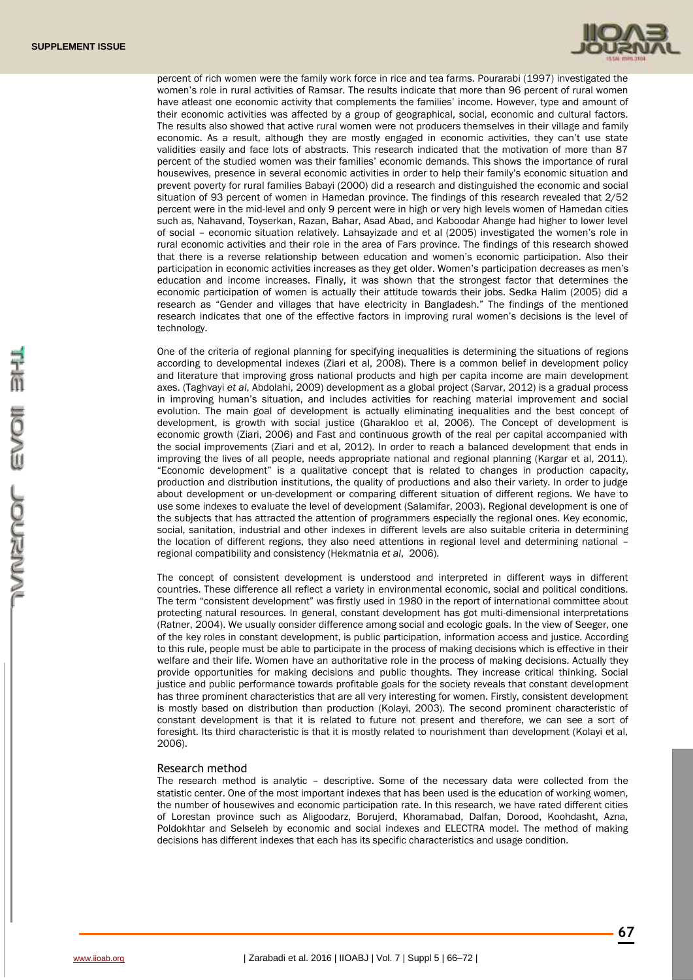

percent of rich women were the family work force in rice and tea farms. Pourarabi (1997) investigated the women's role in rural activities of Ramsar. The results indicate that more than 96 percent of rural women have atleast one economic activity that complements the families' income. However, type and amount of their economic activities was affected by a group of geographical, social, economic and cultural factors. The results also showed that active rural women were not producers themselves in their village and family economic. As a result, although they are mostly engaged in economic activities, they can't use state validities easily and face lots of abstracts. This research indicated that the motivation of more than 87 percent of the studied women was their families' economic demands. This shows the importance of rural housewives, presence in several economic activities in order to help their family's economic situation and prevent poverty for rural families Babayi (2000) did a research and distinguished the economic and social situation of 93 percent of women in Hamedan province. The findings of this research revealed that 2/52 percent were in the mid-level and only 9 percent were in high or very high levels women of Hamedan cities such as, Nahavand, Toyserkan, Razan, Bahar, Asad Abad, and Kaboodar Ahange had higher to lower level of social – economic situation relatively. Lahsayizade and et al (2005) investigated the women's role in rural economic activities and their role in the area of Fars province. The findings of this research showed that there is a reverse relationship between education and women's economic participation. Also their participation in economic activities increases as they get older. Women's participation decreases as men's education and income increases. Finally, it was shown that the strongest factor that determines the economic participation of women is actually their attitude towards their jobs. Sedka Halim (2005) did a research as "Gender and villages that have electricity in Bangladesh." The findings of the mentioned research indicates that one of the effective factors in improving rural women's decisions is the level of technology.

One of the criteria of regional planning for specifying inequalities is determining the situations of regions according to developmental indexes (Ziari et al, 2008). There is a common belief in development policy and literature that improving gross national products and high per capita income are main development axes. (Taghvayi *et al*, Abdolahi, 2009) development as a global project (Sarvar, 2012) is a gradual process in improving human's situation, and includes activities for reaching material improvement and social evolution. The main goal of development is actually eliminating inequalities and the best concept of development, is growth with social justice (Gharakloo et al, 2006). The Concept of development is economic growth (Ziari, 2006) and Fast and continuous growth of the real per capital accompanied with the social improvements (Ziari and et al, 2012). In order to reach a balanced development that ends in improving the lives of all people, needs appropriate national and regional planning (Kargar et al, 2011). "Economic development" is a qualitative concept that is related to changes in production capacity, production and distribution institutions, the quality of productions and also their variety. In order to judge about development or un-development or comparing different situation of different regions. We have to use some indexes to evaluate the level of development (Salamifar, 2003). Regional development is one of the subjects that has attracted the attention of programmers especially the regional ones. Key economic, social, sanitation, industrial and other indexes in different levels are also suitable criteria in determining the location of different regions, they also need attentions in regional level and determining national regional compatibility and consistency (Hekmatnia *et al*, 2006).

The concept of consistent development is understood and interpreted in different ways in different countries. These difference all reflect a variety in environmental economic, social and political conditions. The term "consistent development" was firstly used in 1980 in the report of international committee about protecting natural resources. In general, constant development has got multi-dimensional interpretations (Ratner, 2004). We usually consider difference among social and ecologic goals. In the view of Seeger, one of the key roles in constant development, is public participation, information access and justice. According to this rule, people must be able to participate in the process of making decisions which is effective in their welfare and their life. Women have an authoritative role in the process of making decisions. Actually they provide opportunities for making decisions and public thoughts. They increase critical thinking. Social justice and public performance towards profitable goals for the society reveals that constant development has three prominent characteristics that are all very interesting for women. Firstly, consistent development is mostly based on distribution than production (Kolayi, 2003). The second prominent characteristic of constant development is that it is related to future not present and therefore, we can see a sort of foresight. Its third characteristic is that it is mostly related to nourishment than development (Kolayi et al, 2006).

#### Research method

The research method is analytic – descriptive. Some of the necessary data were collected from the statistic center. One of the most important indexes that has been used is the education of working women, the number of housewives and economic participation rate. In this research, we have rated different cities of Lorestan province such as Aligoodarz, Borujerd, Khoramabad, Dalfan, Dorood, Koohdasht, Azna, Poldokhtar and Selseleh by economic and social indexes and ELECTRA model. The method of making decisions has different indexes that each has its specific characteristics and usage condition.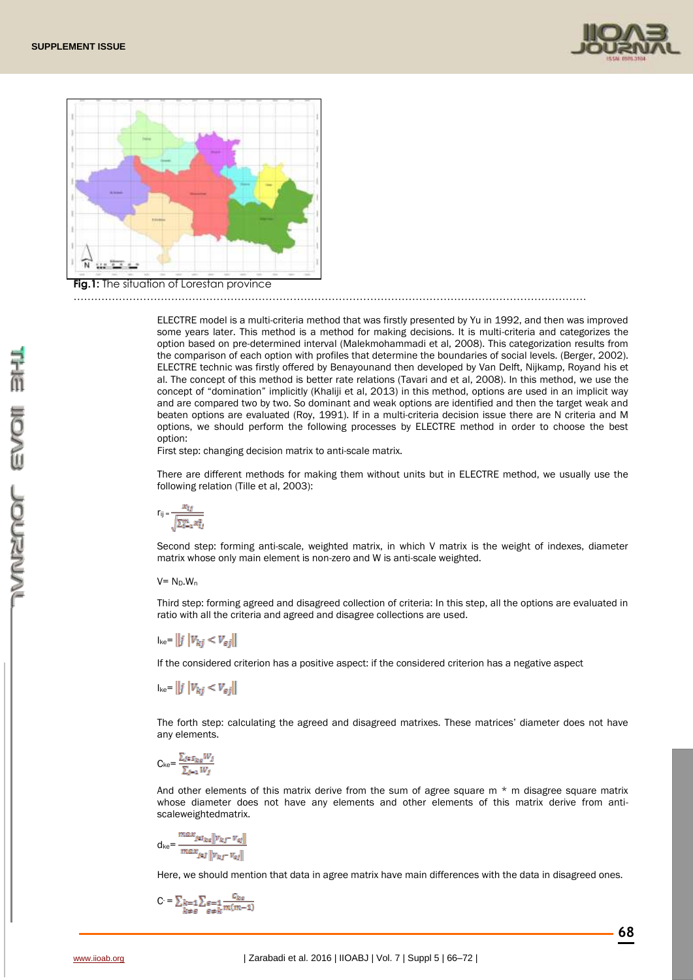



#### …………………………………………………………………………………………………………………………………

ELECTRE model is a multi-criteria method that was firstly presented by Yu in 1992, and then was improved some years later. This method is a method for making decisions. It is multi-criteria and categorizes the option based on pre-determined interval (Malekmohammadi et al, 2008). This categorization results from the comparison of each option with profiles that determine the boundaries of social levels. (Berger, 2002). ELECTRE technic was firstly offered by Benayounand then developed by Van Delft, Nijkamp, Royand his et al. The concept of this method is better rate relations (Tavari and et al, 2008). In this method, we use the concept of "domination" implicitly (Khaliji et al, 2013) in this method, options are used in an implicit way and are compared two by two. So dominant and weak options are identified and then the target weak and beaten options are evaluated (Roy, 1991). If in a multi-criteria decision issue there are N criteria and M options, we should perform the following processes by ELECTRE method in order to choose the best option:

First step: changing decision matrix to anti-scale matrix.

There are different methods for making them without units but in ELECTRE method, we usually use the following relation (Tille et al, 2003):

$$
r_{ij}=\frac{x_{tj}}{\sqrt{\sum_{i=1}^mx_{tj}^2}}
$$

Second step: forming anti-scale, weighted matrix, in which V matrix is the weight of indexes, diameter matrix whose only main element is non-zero and W is anti-scale weighted.

#### $V= N_D.W_n$

Third step: forming agreed and disagreed collection of criteria: In this step, all the options are evaluated in ratio with all the criteria and agreed and disagree collections are used.

 $I_{\text{ke}} = ||j||V_{ki} < V_{ei}||$ 

If the considered criterion has a positive aspect: if the considered criterion has a negative aspect

 $I_{ke}$ =  $||j||V_{ki} < V_{ei}||$ 

The forth step: calculating the agreed and disagreed matrixes. These matrices' diameter does not have any elements.

$$
C_{ke} = \frac{\sum_{j \in S_{ke}} W_j}{\sum_{j=1} W_j}
$$

And other elements of this matrix derive from the sum of agree square m  $*$  m disagree square matrix whose diameter does not have any elements and other elements of this matrix derive from antiscaleweightedmatrix.

$$
d_{ke} = \frac{max_{j \in I_{ke}} \|v_{kj} - v_{aj}\|}{max_{j \in J} \|v_{kj} - v_{aj}\|}
$$

Here, we should mention that data in agree matrix have main differences with the data in disagreed ones.

$$
C = \sum_{k=1}^{n} \sum_{\substack{\theta = 1 \\ \theta \neq k}} \frac{C_{ka}}{m(m-1)}
$$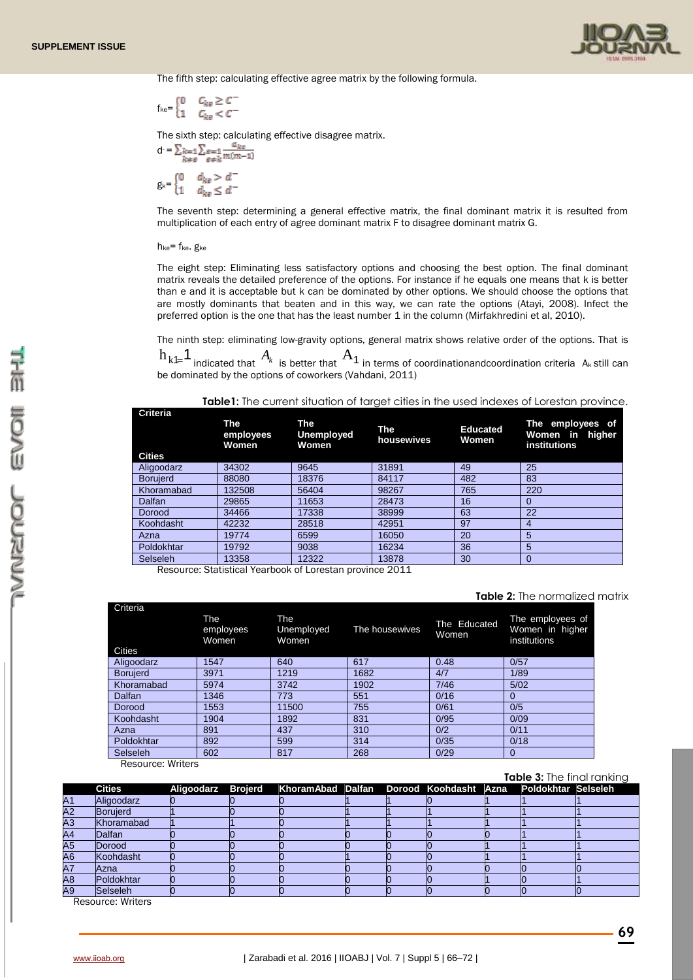

The fifth step: calculating effective agree matrix by the following formula.

$$
f_{ke} = \begin{cases} 0 & C_{ke} \ge C \\ 1 & C_{ke} < C \end{cases}
$$

The sixth step: calculating effective disagree matrix.

$$
d = \sum_{k=0}^{n} k = 1 \sum_{\substack{\theta=1 \\ \theta \neq k}} \frac{a_{k\theta}}{m(m-1)}
$$

$$
g_k = \begin{cases} 0 & d_{k\theta} > d^- \\ 1 & d_{k\theta} \leq d^- \end{cases}
$$

The seventh step: determining a general effective matrix, the final dominant matrix it is resulted from multiplication of each entry of agree dominant matrix F to disagree dominant matrix G.

#### h<sub>ke</sub>= f<sub>ke</sub>. g<sub>ke</sub>

The eight step: Eliminating less satisfactory options and choosing the best option. The final dominant matrix reveals the detailed preference of the options. For instance if he equals one means that k is better than e and it is acceptable but k can be dominated by other options. We should choose the options that are mostly dominants that beaten and in this way, we can rate the options (Atayi, 2008). Infect the preferred option is the one that has the least number 1 in the column (Mirfakhredini et al, 2010).

The ninth step: eliminating low-gravity options, general matrix shows relative order of the options. That is

 $\rm{h_{k1}\!\!\!\!=\!\!1}$  indicated that  $\rm{A_{\it{k}}}$  is better that  $\rm{A_{\it{1}}}$  in terms of coordinationandcoordination criteria  $\rm{A_{\it{k}}}$  still can be dominated by the options of coworkers (Vahdani, 2011)

| Table1: The current situation of target cities in the used indexes of Lorestan province. |  |  |  |
|------------------------------------------------------------------------------------------|--|--|--|
|                                                                                          |  |  |  |

| Criteria<br>The<br>The<br>employees<br><b>Women</b><br>Women |            | Unemployed   | The<br>housewives | <b>Educated</b><br>Women | The employees of<br>Women in higher<br>institutions |  |  |
|--------------------------------------------------------------|------------|--------------|-------------------|--------------------------|-----------------------------------------------------|--|--|
| <b>Cities</b>                                                |            |              |                   |                          |                                                     |  |  |
| Aligoodarz                                                   | 34302      | 9645         | 31891             | 49                       | 25                                                  |  |  |
| <b>Borujerd</b>                                              | 88080      | 18376        | 84117             | 482                      | 83                                                  |  |  |
| Khoramabad                                                   | 132508     | 56404        | 98267             | 765                      | 220                                                 |  |  |
| Dalfan                                                       | 29865      | 11653        | 28473             | 16                       | 0                                                   |  |  |
| Dorood                                                       | 34466      | 17338        | 38999             | 63                       | 22                                                  |  |  |
| Koohdasht                                                    | 42232      | 28518        | 42951             | 97                       | 4                                                   |  |  |
| Azna                                                         | 19774      | 6599         | 16050             | 20                       | 5                                                   |  |  |
| Poldokhtar                                                   | 19792      | 9038         | 16234             | 36                       | 5                                                   |  |  |
| Selseleh                                                     | 13358<br>. | 12322<br>. . | 13878<br>----     | 30                       | $\Omega$                                            |  |  |

Resource: Statistical Yearbook of Lorestan province 2011

#### **Table 2:** The normalized matrix

| Criteria        | The<br>employees<br>Women. | The<br>Unemployed<br>Women | The housewives | The Educated<br><b>Women</b> | The employees of<br>Women in higher<br>institutions |
|-----------------|----------------------------|----------------------------|----------------|------------------------------|-----------------------------------------------------|
| <b>Cities</b>   |                            |                            |                |                              |                                                     |
| Aligoodarz      | 1547                       | 640                        | 617            | 0.48                         | 0/57                                                |
| <b>Borujerd</b> | 3971                       | 1219                       | 1682           | 4/7                          | 1/89                                                |
| Khoramabad      | 5974                       | 3742                       | 1902           | 7/46                         | 5/02                                                |
| <b>Dalfan</b>   | 1346                       | 773                        | 551            | 0/16                         | 0                                                   |
| Dorood          | 1553                       | 11500                      | 755            | 0/61                         | 0/5                                                 |
| Koohdasht       | 1904                       | 1892                       | 831            | 0/95                         | 0/09                                                |
| Azna            | 891                        | 437                        | 310            | 0/2                          | 0/11                                                |
| Poldokhtar      | 892                        | 599                        | 314            | 0/35                         | 0/18                                                |
| Selseleh        | 602                        | 817                        | 268            | 0/29                         | $\mathbf 0$                                         |

**Resource: Writers** 

**Table 3:** The final ranking

|                 | <b>Cities</b>   |  | Aligoodarz Brojerd KhoramAbad Dalfan Dorood Koohdasht Azna Poldokhtar Selseleh |  |  |  |
|-----------------|-----------------|--|--------------------------------------------------------------------------------|--|--|--|
| A <sub>1</sub>  | Aligoodarz      |  |                                                                                |  |  |  |
| $\overline{A2}$ | <b>Boruierd</b> |  |                                                                                |  |  |  |
| A3              | Khoramabad      |  |                                                                                |  |  |  |
| A4              | Dalfan          |  |                                                                                |  |  |  |
| $\overline{A5}$ | Dorood          |  |                                                                                |  |  |  |
| A <sub>6</sub>  | Koohdasht       |  |                                                                                |  |  |  |
| A7              | Azna            |  |                                                                                |  |  |  |
| $\overline{AB}$ | Poldokhtar      |  |                                                                                |  |  |  |
| A9              | <b>Selseleh</b> |  |                                                                                |  |  |  |

Resource: Writers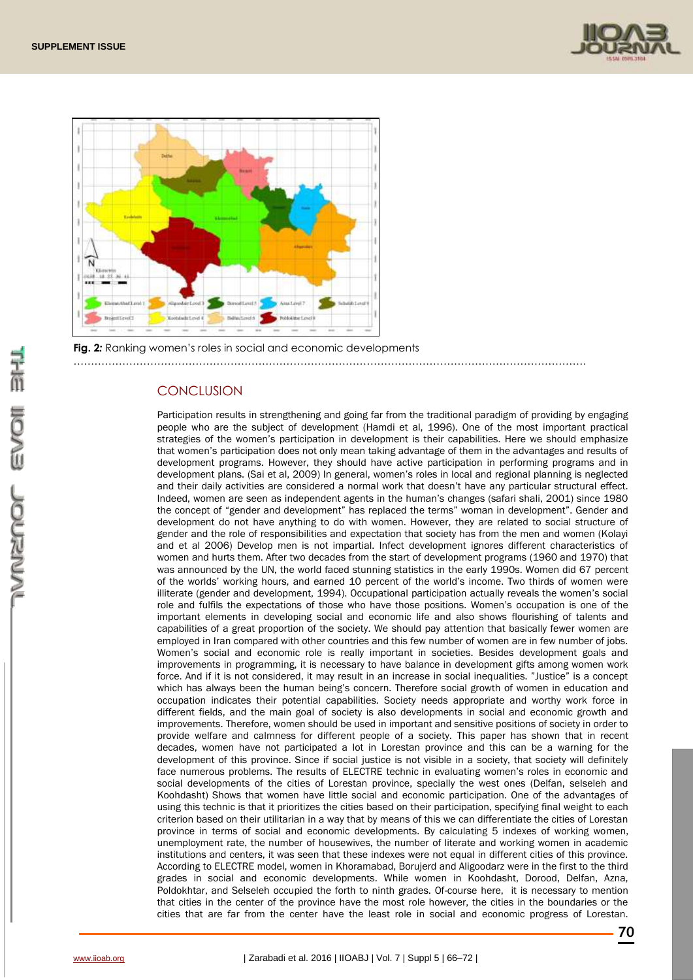



**Fig. 2***:* Ranking women's roles in social and economic developments …………………………………………………………………………………………………………………………………

### **CONCLUSION**

Participation results in strengthening and going far from the traditional paradigm of providing by engaging people who are the subject of development (Hamdi et al, 1996). One of the most important practical strategies of the women's participation in development is their capabilities. Here we should emphasize that women's participation does not only mean taking advantage of them in the advantages and results of development programs. However, they should have active participation in performing programs and in development plans. (Sai et al, 2009) In general, women's roles in local and regional planning is neglected and their daily activities are considered a normal work that doesn't have any particular structural effect. Indeed, women are seen as independent agents in the human's changes (safari shali, 2001) since 1980 the concept of "gender and development" has replaced the terms" woman in development". Gender and development do not have anything to do with women. However, they are related to social structure of gender and the role of responsibilities and expectation that society has from the men and women (Kolayi and et al 2006) Develop men is not impartial. Infect development ignores different characteristics of women and hurts them. After two decades from the start of development programs (1960 and 1970) that was announced by the UN, the world faced stunning statistics in the early 1990s. Women did 67 percent of the worlds' working hours, and earned 10 percent of the world's income. Two thirds of women were illiterate (gender and development, 1994). Occupational participation actually reveals the women's social role and fulfils the expectations of those who have those positions. Women's occupation is one of the important elements in developing social and economic life and also shows flourishing of talents and capabilities of a great proportion of the society. We should pay attention that basically fewer women are employed in Iran compared with other countries and this few number of women are in few number of jobs. Women's social and economic role is really important in societies. Besides development goals and improvements in programming, it is necessary to have balance in development gifts among women work force. And if it is not considered, it may result in an increase in social inequalities. "Justice" is a concept which has always been the human being's concern. Therefore social growth of women in education and occupation indicates their potential capabilities. Society needs appropriate and worthy work force in different fields, and the main goal of society is also developments in social and economic growth and improvements. Therefore, women should be used in important and sensitive positions of society in order to provide welfare and calmness for different people of a society. This paper has shown that in recent decades, women have not participated a lot in Lorestan province and this can be a warning for the development of this province. Since if social justice is not visible in a society, that society will definitely face numerous problems. The results of ELECTRE technic in evaluating women's roles in economic and social developments of the cities of Lorestan province, specially the west ones (Delfan, selseleh and Koohdasht) Shows that women have little social and economic participation. One of the advantages of using this technic is that it prioritizes the cities based on their participation, specifying final weight to each criterion based on their utilitarian in a way that by means of this we can differentiate the cities of Lorestan province in terms of social and economic developments. By calculating 5 indexes of working women, unemployment rate, the number of housewives, the number of literate and working women in academic institutions and centers, it was seen that these indexes were not equal in different cities of this province. According to ELECTRE model, women in Khoramabad, Borujerd and Aligoodarz were in the first to the third grades in social and economic developments. While women in Koohdasht, Dorood, Delfan, Azna, Poldokhtar, and Selseleh occupied the forth to ninth grades. Of-course here, it is necessary to mention that cities in the center of the province have the most role however, the cities in the boundaries or the cities that are far from the center have the least role in social and economic progress of Lorestan.

**70**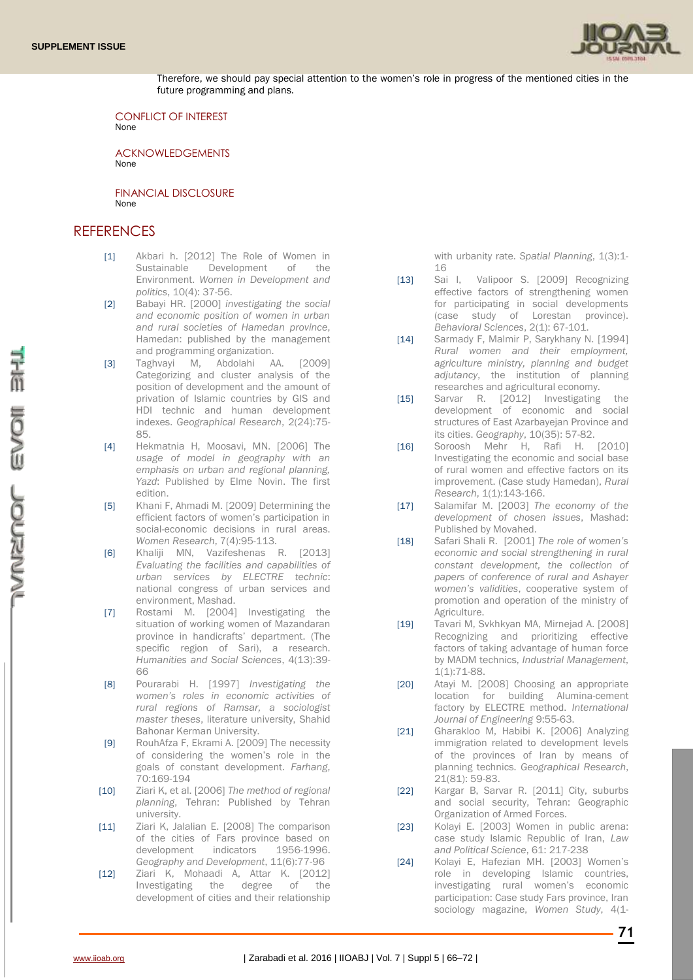

Therefore, we should pay special attention to the women's role in progress of the mentioned cities in the future programming and plans.

CONFLICT OF INTEREST None

ACKNOWLEDGEMENTS None

FINANCIAL DISCLOSURE None

## **REFERENCES**

- [1] Akbari h. [2012] The Role of Women in Sustainable Development of the Environment. *Women in Development and politics*, 10(4): 37-56.
- [2] Babayi HR. [2000] *investigating the social and economic position of women in urban and rural societies of Hamedan province*, Hamedan: published by the management and programming organization.
- [3] Taghvayi M, Abdolahi AA. [2009] Categorizing and cluster analysis of the position of development and the amount of privation of Islamic countries by GIS and HDI technic and human development indexes. *Geographical Research*, 2(24):75- 85.
- [4] Hekmatnia H, Moosavi, MN. [2006] The *usage of model in geography with an emphasis on urban and regional planning, Yazd*: Published by Elme Novin. The first edition.
- [5] Khani F, Ahmadi M. [2009] Determining the efficient factors of women's participation in social-economic decisions in rural areas. *Women Research*, 7(4):95-113.
- [6] Khaliji MN, Vazifeshenas R. [2013] *Evaluating the facilities and capabilities of urban services by ELECTRE technic*: national congress of urban services and environment, Mashad.
- [7] Rostami M. [2004] Investigating the situation of working women of Mazandaran province in handicrafts' department. (The specific region of Sari), a research. *Humanities and Social Sciences*, 4(13):39- 66
- [8] Pourarabi H. [1997] *Investigating the women's roles in economic activities of rural regions of Ramsar, a sociologist master theses*, literature university, Shahid Bahonar Kerman University.
- [9] RouhAfza F, Ekrami A. [2009] The necessity of considering the women's role in the goals of constant development. *Farhang*, 70:169-194
- [10] Ziari K, et al. [2006] *The method of regional planning*, Tehran: Published by Tehran university.
- [11] Ziari K, Jalalian E. [2008] The comparison of the cities of Fars province based on development indicators 1956-1996. *Geography and Development*, 11(6):77-96
- [12] Ziari K, Mohaadi A, Attar K. [2012] Investigating the degree of the development of cities and their relationship

with urbanity rate. Spatial Planning, 1(3):1-16

- [13] Sai I, Valipoor S. [2009] Recognizing effective factors of strengthening women for participating in social developments (case study of Lorestan province). *[Behavioral Sciences](http://www.jbs.ir/)*, 2(1): 67-101.
- [14] Sarmady F, Malmir P, Sarykhany N. [1994] *Rural women and their employment, agriculture ministry, planning and budget adjutancy*, the institution of planning researches and agricultural economy.
- [15] Sarvar R. [2012] Investigating the development of economic and social structures of East Azarbayejan Province and its cities. *Geography*, 10(35): 57-82.
- [16] Soroosh Mehr H, Rafi H. [2010] Investigating the economic and social base of rural women and effective factors on its improvement. (Case study Hamedan), *Rural Research*, 1(1):143-166.
- [17] Salamifar M. [2003] *The economy of the development of chosen issues*, Mashad: Published by Movahed.
- [18] Safari Shali R. [2001] *The role of women's economic and social strengthening in rural constant development, the collection of papers of conference of rural and Ashayer women's validities*, cooperative system of promotion and operation of the ministry of Agriculture.
- [19] Tavari M, Sykhkyan MA, Mirnejad A, [2008] Recognizing and prioritizing effective factors of taking advantage of human force by MADM technics, *Industrial Management*, 1(1):71-88.
- [20] Atayi M. [2008] Choosing an appropriate location for building Alumina-cement factory by ELECTRE method. *International Journal of Engineering* 9:55-63.
- [21] Gharakloo M, Habibi K. [2006] Analyzing immigration related to development levels of the provinces of Iran by means of planning technics. *Geographical Research*, 21(81): 59-83.
- [22] Kargar B, Sarvar R. [2011] City, suburbs and social security, Tehran: Geographic Organization of Armed Forces.
- [23] Kolayi E. [2003] Women in public arena: case study Islamic Republic of Iran, *Law and Political Science*, 61: 217-238
- [24] Kolayi E, Hafezian MH. [2003] Women's role in developing Islamic countries, investigating rural women's economic participation: Case study Fars province, Iran sociology magazine, *Women Study*, 4(1-

COCNESS